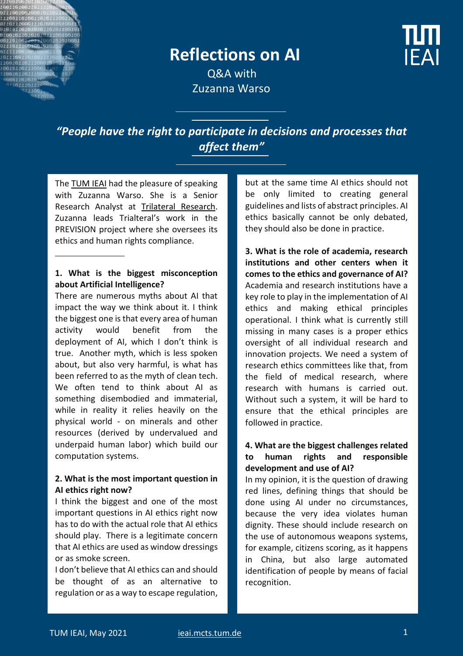

**IFAI** 

 Q&A with Zuzanna Warso

*"People have the right to participate in decisions and processes that affect them"*

The [TUM IEAI](https://ieai.mcts.tum.de/) had the pleasure of speaking with Zuzanna Warso. She is a Senior Research Analyst at [Trilateral Research.](https://www.trilateralresearch.com/our_team/zuzanna-warso/) Zuzanna leads Trialteral's work in the PREVISION project where she oversees its ethics and human rights compliance.

#### **1. What is the biggest misconception about Artificial Intelligence?**

There are numerous myths about AI that impact the way we think about it. I think the biggest one is that every area of human activity would benefit from the deployment of AI, which I don't think is true. Another myth, which is less spoken about, but also very harmful, is what has been referred to as the myth of clean tech. We often tend to think about AI as something disembodied and immaterial, while in reality it relies heavily on the physical world - on minerals and other resources (derived by undervalued and underpaid human labor) which build our computation systems.

### **2. What is the most important question in AI ethics right now?**

I think the biggest and one of the most important questions in AI ethics right now has to do with the actual role that AI ethics should play. There is a legitimate concern that AI ethics are used as window dressings or as smoke screen.

I don't believe that AI ethics can and should be thought of as an alternative to regulation or as a way to escape regulation,

but at the same time AI ethics should not be only limited to creating general guidelines and lists of abstract principles. AI ethics basically cannot be only debated, they should also be done in practice.

**3. What is the role of academia, research institutions and other centers when it comes to the ethics and governance of AI?** Academia and research institutions have a key role to play in the implementation of AI ethics and making ethical principles operational. I think what is currently still missing in many cases is a proper ethics oversight of all individual research and innovation projects. We need a system of research ethics committees like that, from the field of medical research, where research with humans is carried out. Without such a system, it will be hard to ensure that the ethical principles are followed in practice.

# **4. What are the biggest challenges related to human rights and responsible development and use of AI?**

In my opinion, it is the question of drawing red lines, defining things that should be done using AI under no circumstances, because the very idea violates human dignity. These should include research on the use of autonomous weapons systems, for example, citizens scoring, as it happens in China, but also large automated identification of people by means of facial recognition.